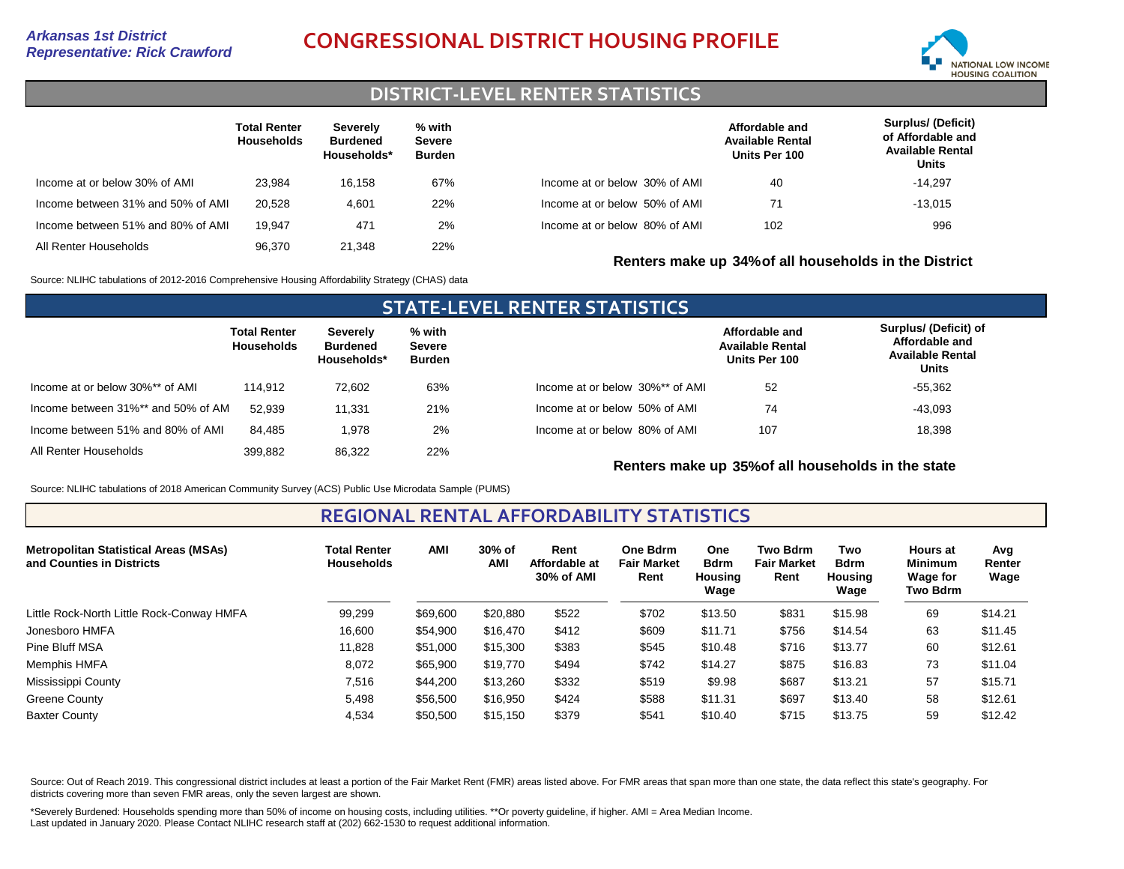# *Representative: Rick Crawford* **CONGRESSIONAL DISTRICT HOUSING PROFILE**



# **DISTRICT-LEVEL RENTER STATISTICS**

|                                   | <b>Total Renter</b><br><b>Households</b> | Severely<br><b>Burdened</b><br>Households* | % with<br><b>Severe</b><br>Burden |                               | Affordable and<br><b>Available Rental</b><br>Units Per 100 | Surplus/ (Deficit)<br>of Affordable and<br><b>Available Rental</b><br>Units |
|-----------------------------------|------------------------------------------|--------------------------------------------|-----------------------------------|-------------------------------|------------------------------------------------------------|-----------------------------------------------------------------------------|
| Income at or below 30% of AMI     | 23,984                                   | 16.158                                     | 67%                               | Income at or below 30% of AMI | 40                                                         | $-14.297$                                                                   |
| Income between 31% and 50% of AMI | 20.528                                   | 4,601                                      | 22%                               | Income at or below 50% of AMI | 71                                                         | $-13.015$                                                                   |
| Income between 51% and 80% of AMI | 19.947                                   | 471                                        | 2%                                | Income at or below 80% of AMI | 102                                                        | 996                                                                         |
| All Renter Households             | 96.370                                   | 21.348                                     | 22%                               |                               | Renters make up 34% of all households in the District      |                                                                             |

Source: NLIHC tabulations of 2012-2016 Comprehensive Housing Affordability Strategy (CHAS) data

| <b>STATE-LEVEL RENTER STATISTICS</b> |                                   |                                            |                                   |                                 |                                                            |                                                                             |  |  |  |  |  |  |
|--------------------------------------|-----------------------------------|--------------------------------------------|-----------------------------------|---------------------------------|------------------------------------------------------------|-----------------------------------------------------------------------------|--|--|--|--|--|--|
|                                      | <b>Total Renter</b><br>Households | Severely<br><b>Burdened</b><br>Households* | % with<br><b>Severe</b><br>Burden |                                 | Affordable and<br><b>Available Rental</b><br>Units Per 100 | Surplus/ (Deficit) of<br>Affordable and<br><b>Available Rental</b><br>Units |  |  |  |  |  |  |
| Income at or below 30%** of AMI      | 114.912                           | 72.602                                     | 63%                               | Income at or below 30%** of AMI | 52                                                         | $-55,362$                                                                   |  |  |  |  |  |  |
| Income between 31%** and 50% of AM   | 52.939                            | 11.331                                     | 21%                               | Income at or below 50% of AMI   | 74                                                         | $-43.093$                                                                   |  |  |  |  |  |  |
| Income between 51% and 80% of AMI    | 84.485                            | 1.978                                      | 2%                                | Income at or below 80% of AMI   | 107                                                        | 18.398                                                                      |  |  |  |  |  |  |
| All Renter Households                | 399.882                           | 86.322                                     | 22%                               |                                 |                                                            |                                                                             |  |  |  |  |  |  |

**Renters make up 35%of all households in the state**

Source: NLIHC tabulations of 2018 American Community Survey (ACS) Public Use Microdata Sample (PUMS)

**REGIONAL RENTAL AFFORDABILITY STATISTICS**

| <b>Metropolitan Statistical Areas (MSAs)</b><br>and Counties in Districts | <b>Total Renter</b><br><b>Households</b> | <b>AMI</b> | 30% of<br><b>AMI</b> | Rent<br>Affordable at<br>30% of AMI | One Bdrm<br><b>Fair Market</b><br>Rent | <b>One</b><br><b>Bdrm</b><br><b>Housing</b><br>Wage | <b>Two Bdrm</b><br><b>Fair Market</b><br>Rent | Two<br><b>Bdrm</b><br><b>Housing</b><br>Wage | <b>Hours at</b><br><b>Minimum</b><br>Wage for<br>Two Bdrm | Avg<br>Renter<br>Wage |
|---------------------------------------------------------------------------|------------------------------------------|------------|----------------------|-------------------------------------|----------------------------------------|-----------------------------------------------------|-----------------------------------------------|----------------------------------------------|-----------------------------------------------------------|-----------------------|
| Little Rock-North Little Rock-Conway HMFA                                 | 99,299                                   | \$69,600   | \$20,880             | \$522                               | \$702                                  | \$13.50                                             | \$831                                         | \$15.98                                      | 69                                                        | \$14.21               |
| Jonesboro HMFA                                                            | 16,600                                   | \$54,900   | \$16,470             | \$412                               | \$609                                  | \$11.71                                             | \$756                                         | \$14.54                                      | 63                                                        | \$11.45               |
| Pine Bluff MSA                                                            | 11,828                                   | \$51,000   | \$15,300             | \$383                               | \$545                                  | \$10.48                                             | \$716                                         | \$13.77                                      | 60                                                        | \$12.61               |
| Memphis HMFA                                                              | 8,072                                    | \$65,900   | \$19,770             | \$494                               | \$742                                  | \$14.27                                             | \$875                                         | \$16.83                                      | 73                                                        | \$11.04               |
| Mississippi County                                                        | 7,516                                    | \$44,200   | \$13,260             | \$332                               | \$519                                  | \$9.98                                              | \$687                                         | \$13.21                                      | 57                                                        | \$15.71               |
| Greene County                                                             | 5,498                                    | \$56,500   | \$16,950             | \$424                               | \$588                                  | \$11.31                                             | \$697                                         | \$13.40                                      | 58                                                        | \$12.61               |
| <b>Baxter County</b>                                                      | 4,534                                    | \$50,500   | \$15,150             | \$379                               | \$541                                  | \$10.40                                             | \$715                                         | \$13.75                                      | 59                                                        | \$12.42               |

Source: Out of Reach 2019. This congressional district includes at least a portion of the Fair Market Rent (FMR) areas listed above. For FMR areas that span more than one state, the data reflect this state's geography. For districts covering more than seven FMR areas, only the seven largest are shown.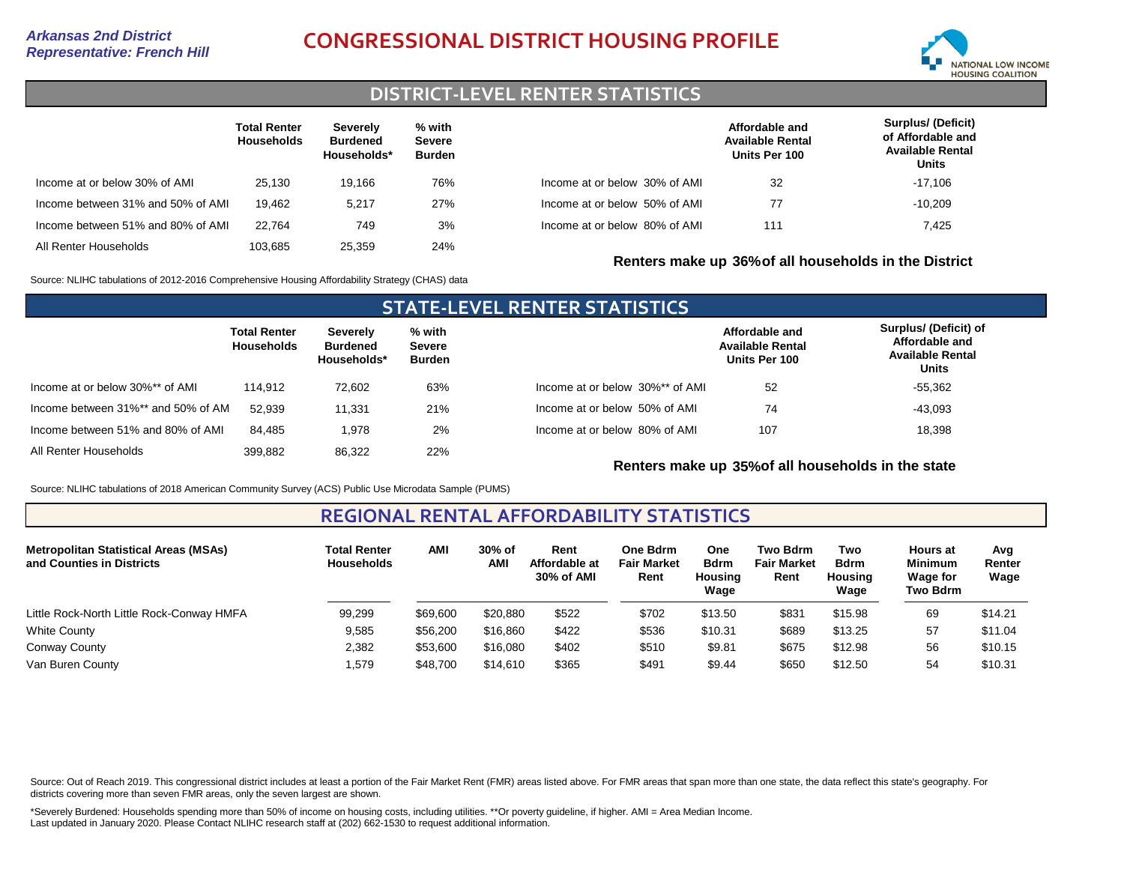# *Representative: French Hill* **CONGRESSIONAL DISTRICT HOUSING PROFILE**



# **DISTRICT-LEVEL RENTER STATISTICS**

|                                   | <b>Total Renter</b><br><b>Households</b> | Severely<br><b>Burdened</b><br>Households* | % with<br><b>Severe</b><br><b>Burden</b> |                               | Affordable and<br><b>Available Rental</b><br>Units Per 100 | <b>Surplus/ (Deficit)</b><br>of Affordable and<br><b>Available Rental</b><br>Units |
|-----------------------------------|------------------------------------------|--------------------------------------------|------------------------------------------|-------------------------------|------------------------------------------------------------|------------------------------------------------------------------------------------|
| Income at or below 30% of AMI     | 25.130                                   | 19.166                                     | 76%                                      | Income at or below 30% of AMI | 32                                                         | -17,106                                                                            |
| Income between 31% and 50% of AMI | 19.462                                   | 5.217                                      | 27%                                      | Income at or below 50% of AMI | 77                                                         | $-10.209$                                                                          |
| Income between 51% and 80% of AMI | 22.764                                   | 749                                        | 3%                                       | Income at or below 80% of AMI | 111                                                        | 7.425                                                                              |
| All Renter Households             | 103.685                                  | 25,359                                     | 24%                                      |                               | Renters make up 36% of all households in the District      |                                                                                    |

Source: NLIHC tabulations of 2012-2016 Comprehensive Housing Affordability Strategy (CHAS) data

### **STATE-LEVEL RENTER STATISTICS Total Renter Households Severely Burdened Households\* % with Severe Burden** Income at or below 30%\*\* of AMI Income between 31%\*\* and 50% of AMI All Renter Households 114,912 52,939 399,882 72,602 11,331 86,322 63% 21% 22% Income between 51% and 80% of AMI 84,485 1,978 2% Income at or below 30%\*\* of AMI Income at or below 50% of AMI Income at or below 80% of AMI **Affordable and Available Rental Units Per 100 Surplus/ (Deficit) of Affordable and Available Rental Units** 52 107 74 18,398 -43,093 -55,362

**Renters make up 35%of all households in the state**

Source: NLIHC tabulations of 2018 American Community Survey (ACS) Public Use Microdata Sample (PUMS)

### **REGIONAL RENTAL AFFORDABILITY STATISTICS**

| <b>Metropolitan Statistical Areas (MSAs)</b><br>and Counties in Districts | <b>Total Renter</b><br><b>Households</b> | <b>AMI</b> | 30% of<br><b>AMI</b> | Rent<br>Affordable at<br>30% of AMI | One Bdrm<br><b>Fair Market</b><br>Rent | One<br><b>Bdrm</b><br><b>Housing</b><br>Wage | <b>Two Bdrm</b><br><b>Fair Market</b><br>Rent | Two<br><b>Bdrm</b><br><b>Housing</b><br>Wage | <b>Hours at</b><br><b>Minimum</b><br><b>Wage for</b><br>Two Bdrm | Avg<br>Renter<br>Wage |
|---------------------------------------------------------------------------|------------------------------------------|------------|----------------------|-------------------------------------|----------------------------------------|----------------------------------------------|-----------------------------------------------|----------------------------------------------|------------------------------------------------------------------|-----------------------|
| Little Rock-North Little Rock-Conway HMFA                                 | 99,299                                   | \$69,600   | \$20,880             | \$522                               | \$702                                  | \$13.50                                      | \$831                                         | \$15.98                                      | 69                                                               | \$14.21               |
| White County                                                              | 9,585                                    | \$56,200   | \$16,860             | \$422                               | \$536                                  | \$10.31                                      | \$689                                         | \$13.25                                      | 57                                                               | \$11.04               |
| Conway County                                                             | 2,382                                    | \$53,600   | \$16,080             | \$402                               | \$510                                  | \$9.81                                       | \$675                                         | \$12.98                                      | 56                                                               | \$10.15               |
| Van Buren County                                                          | 579،،                                    | \$48,700   | \$14,610             | \$365                               | \$491                                  | \$9.44                                       | \$650                                         | \$12.50                                      | 54                                                               | \$10.31               |

Source: Out of Reach 2019. This congressional district includes at least a portion of the Fair Market Rent (FMR) areas listed above. For FMR areas that span more than one state, the data reflect this state's geography. For districts covering more than seven FMR areas, only the seven largest are shown.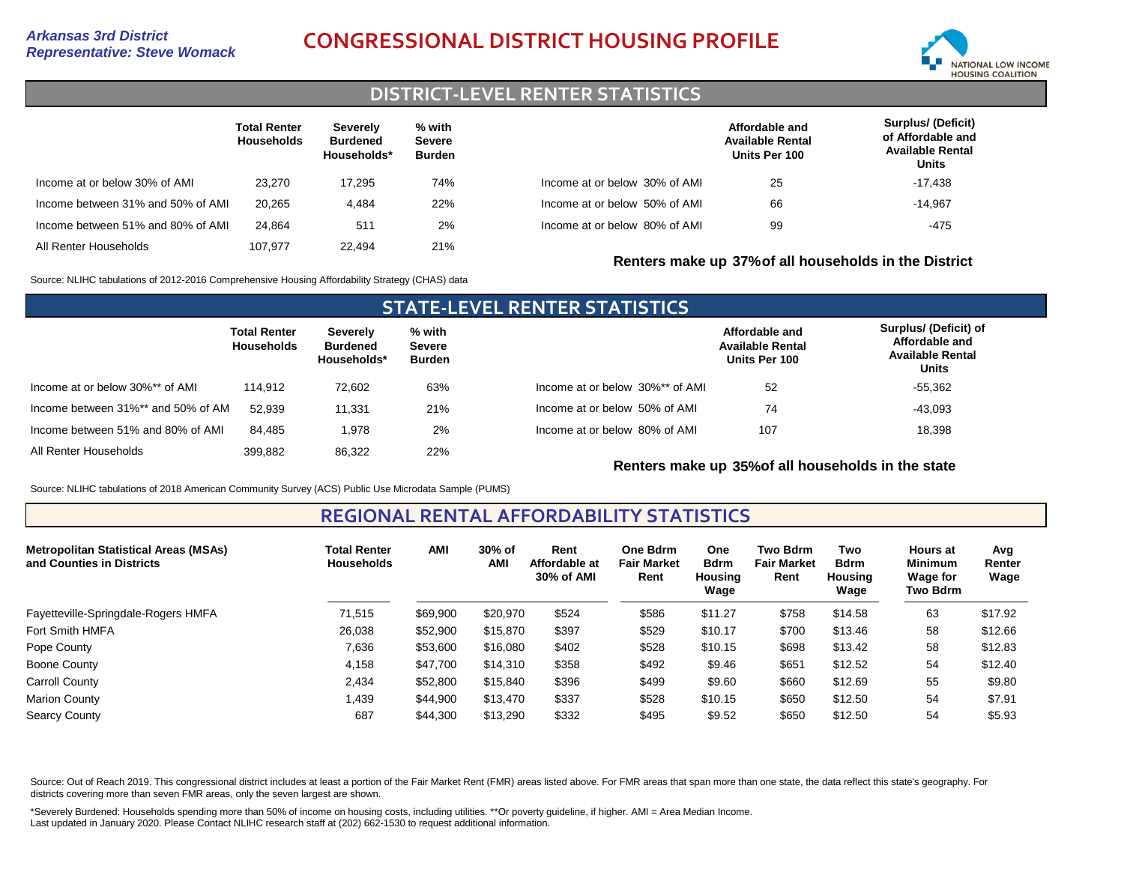# *Representative: Steve Womack* **CONGRESSIONAL DISTRICT HOUSING PROFILE**



# **DISTRICT-LEVEL RENTER STATISTICS**

|                                   | <b>Total Renter</b><br><b>Households</b> | <b>Severely</b><br><b>Burdened</b><br>Households* | % with<br><b>Severe</b><br><b>Burden</b> |                               | Affordable and<br><b>Available Rental</b><br>Units Per 100 | <b>Surplus/ (Deficit)</b><br>of Affordable and<br><b>Available Rental</b><br>Units |
|-----------------------------------|------------------------------------------|---------------------------------------------------|------------------------------------------|-------------------------------|------------------------------------------------------------|------------------------------------------------------------------------------------|
| Income at or below 30% of AMI     | 23.270                                   | 17.295                                            | 74%                                      | Income at or below 30% of AMI | 25                                                         | $-17,438$                                                                          |
| Income between 31% and 50% of AMI | 20.265                                   | 4.484                                             | 22%                                      | Income at or below 50% of AMI | 66                                                         | $-14,967$                                                                          |
| Income between 51% and 80% of AMI | 24.864                                   | 511                                               | 2%                                       | Income at or below 80% of AMI | 99                                                         | -475                                                                               |
| All Renter Households             | 107.977                                  | 22.494                                            | 21%                                      |                               | Renters make up 37% of all households in the District      |                                                                                    |

Source: NLIHC tabulations of 2012-2016 Comprehensive Housing Affordability Strategy (CHAS) data

| <b>STATE-LEVEL RENTER STATISTICS</b> |                                   |                                            |                                   |                                 |                                                            |                                                                                    |  |  |  |  |  |  |
|--------------------------------------|-----------------------------------|--------------------------------------------|-----------------------------------|---------------------------------|------------------------------------------------------------|------------------------------------------------------------------------------------|--|--|--|--|--|--|
|                                      | <b>Total Renter</b><br>Households | Severely<br><b>Burdened</b><br>Households* | % with<br><b>Severe</b><br>Burden |                                 | Affordable and<br><b>Available Rental</b><br>Units Per 100 | Surplus/ (Deficit) of<br>Affordable and<br><b>Available Rental</b><br><b>Units</b> |  |  |  |  |  |  |
| Income at or below 30%** of AMI      | 114.912                           | 72.602                                     | 63%                               | Income at or below 30%** of AMI | 52                                                         | $-55.362$                                                                          |  |  |  |  |  |  |
| Income between 31%** and 50% of AM   | 52.939                            | 11.331                                     | 21%                               | Income at or below 50% of AMI   | 74                                                         | $-43.093$                                                                          |  |  |  |  |  |  |
| Income between 51% and 80% of AMI    | 84.485                            | 1,978                                      | 2%                                | Income at or below 80% of AMI   | 107                                                        | 18,398                                                                             |  |  |  |  |  |  |
| All Renter Households                | 399.882                           | 86.322                                     | 22%                               |                                 |                                                            |                                                                                    |  |  |  |  |  |  |

### **Renters make up 35%of all households in the state**

Source: NLIHC tabulations of 2018 American Community Survey (ACS) Public Use Microdata Sample (PUMS)

### **REGIONAL RENTAL AFFORDABILITY STATISTICS**

| <b>Metropolitan Statistical Areas (MSAs)</b><br>and Counties in Districts | <b>Total Renter</b><br><b>Households</b> | AMI      | 30% of<br>AMI | Rent<br>Affordable at<br>30% of AMI | <b>One Bdrm</b><br><b>Fair Market</b><br>Rent | <b>One</b><br><b>Bdrm</b><br>Housing<br>Wage | <b>Two Bdrm</b><br><b>Fair Market</b><br>Rent | Two<br><b>Bdrm</b><br>Housina<br>Wage | <b>Hours at</b><br><b>Minimum</b><br><b>Wage for</b><br>Two Bdrm | Avg<br>Renter<br>Wage |
|---------------------------------------------------------------------------|------------------------------------------|----------|---------------|-------------------------------------|-----------------------------------------------|----------------------------------------------|-----------------------------------------------|---------------------------------------|------------------------------------------------------------------|-----------------------|
| Fayetteville-Springdale-Rogers HMFA                                       | 71,515                                   | \$69,900 | \$20,970      | \$524                               | \$586                                         | \$11.27                                      | \$758                                         | \$14.58                               | 63                                                               | \$17.92               |
| Fort Smith HMFA                                                           | 26,038                                   | \$52,900 | \$15,870      | \$397                               | \$529                                         | \$10.17                                      | \$700                                         | \$13.46                               | 58                                                               | \$12.66               |
| Pope County                                                               | 7,636                                    | \$53,600 | \$16,080      | \$402                               | \$528                                         | \$10.15                                      | \$698                                         | \$13.42                               | 58                                                               | \$12.83               |
| Boone County                                                              | 4.158                                    | \$47.700 | \$14,310      | \$358                               | \$492                                         | \$9.46                                       | \$651                                         | \$12.52                               | 54                                                               | \$12.40               |
| Carroll County                                                            | 2,434                                    | \$52,800 | \$15.840      | \$396                               | \$499                                         | \$9.60                                       | \$660                                         | \$12.69                               | 55                                                               | \$9.80                |
| <b>Marion County</b>                                                      | 1.439                                    | \$44,900 | \$13,470      | \$337                               | \$528                                         | \$10.15                                      | \$650                                         | \$12.50                               | 54                                                               | \$7.91                |
| <b>Searcy County</b>                                                      | 687                                      | \$44,300 | \$13,290      | \$332                               | \$495                                         | \$9.52                                       | \$650                                         | \$12.50                               | 54                                                               | \$5.93                |

Source: Out of Reach 2019. This congressional district includes at least a portion of the Fair Market Rent (FMR) areas listed above. For FMR areas that span more than one state, the data reflect this state's geography. For districts covering more than seven FMR areas, only the seven largest are shown.